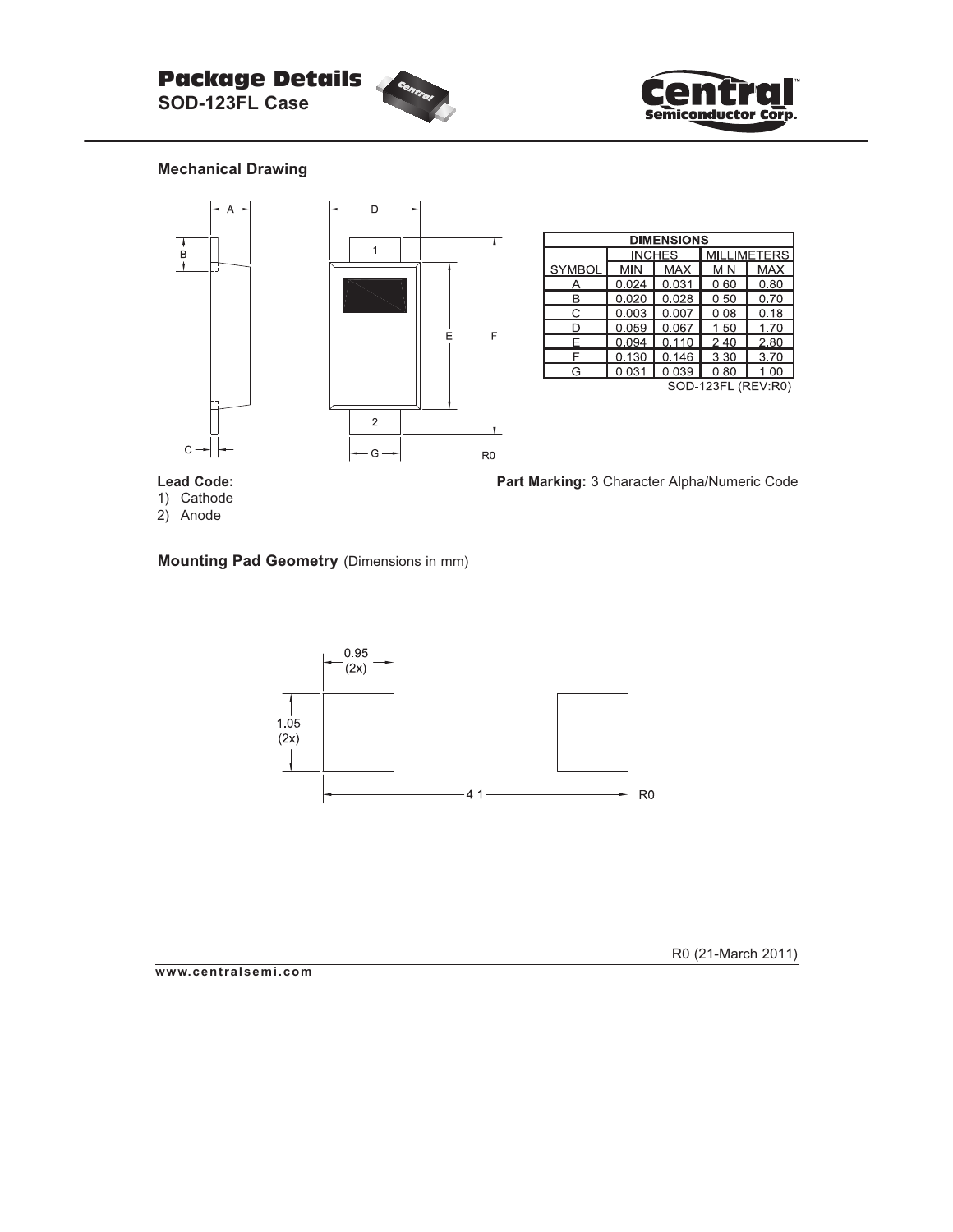



## **Mechanical Drawing**



central

**Mounting Pad Geometry** (Dimensions in mm)



**www.centralsemi.com**

R0 (21-March 2011)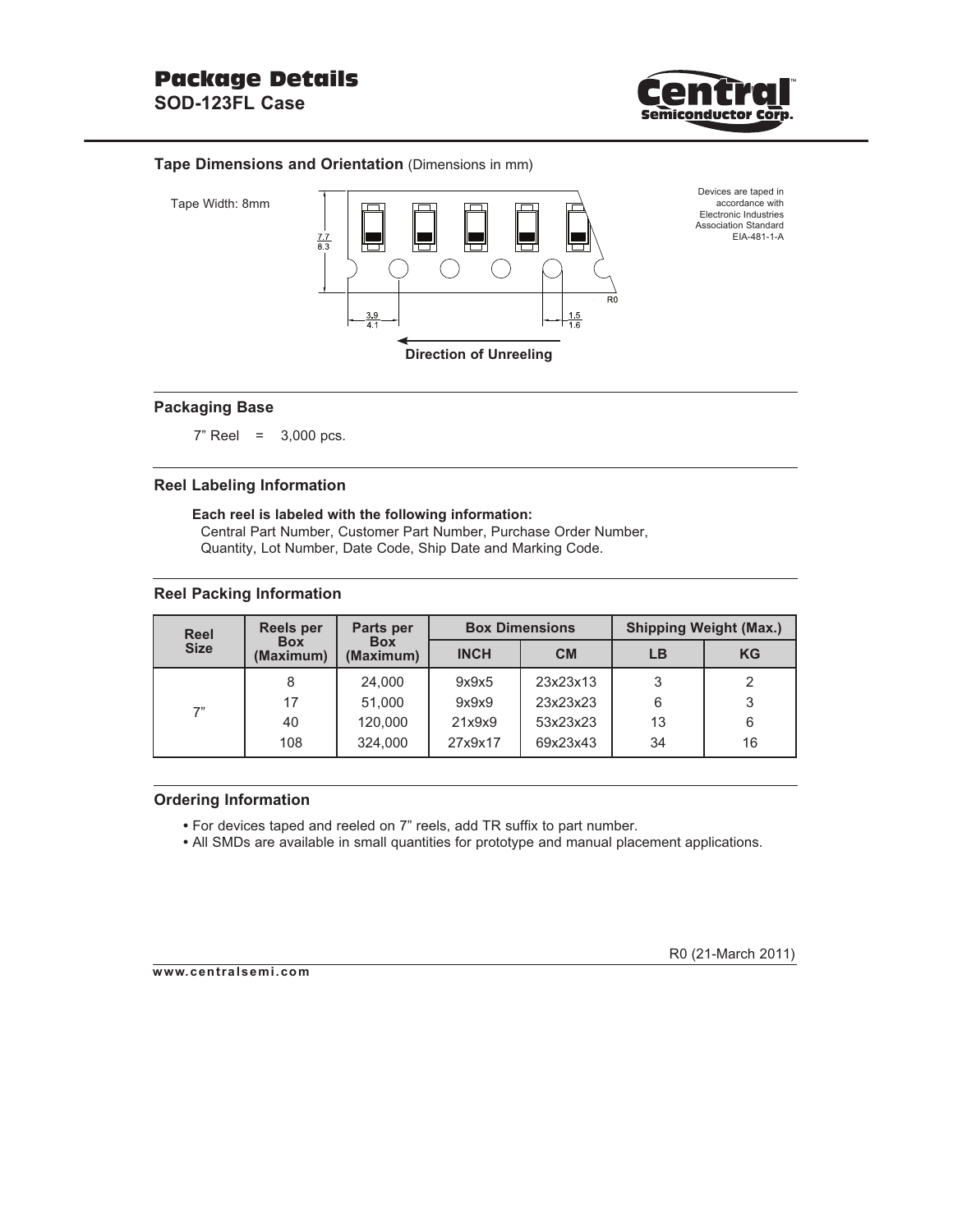

### **Tape Dimensions and Orientation** (Dimensions in mm)





Devices are taped in accordance with Electronic Industries Association Standard EIA-481-1-A

## **Packaging Base**

7" Reel = 3,000 pcs.

### **Reel Labeling Information**

**Each reel is labeled with the following information:** Central Part Number, Customer Part Number, Purchase Order Number,

Quantity, Lot Number, Date Code, Ship Date and Marking Code.

### **Reel Packing Information**

| <b>Reel</b> | <b>Reels per</b>        | Parts per               |             | <b>Box Dimensions</b> | <b>Shipping Weight (Max.)</b> |           |  |
|-------------|-------------------------|-------------------------|-------------|-----------------------|-------------------------------|-----------|--|
| <b>Size</b> | <b>Box</b><br>(Maximum) | <b>Box</b><br>(Maximum) | <b>INCH</b> | CM                    | LB                            | <b>KG</b> |  |
| 7"          | 8                       | 24,000                  | 9x9x5       | 23x23x13              | 3                             | 2         |  |
|             | 17                      | 51,000                  | 9x9x9       | 23x23x23              | 6                             | 3         |  |
|             | 40                      | 120,000                 | 21x9x9      | 53x23x23              | 13                            | 6         |  |
|             | 108                     | 324,000                 | 27x9x17     | 69x23x43              | 34                            | 16        |  |

#### **Ordering Information**

- For devices taped and reeled on 7" reels, add TR suffix to part number.
- All SMDs are available in small quantities for prototype and manual placement applications.

**www.centralsemi.com**

R0 (21-March 2011)